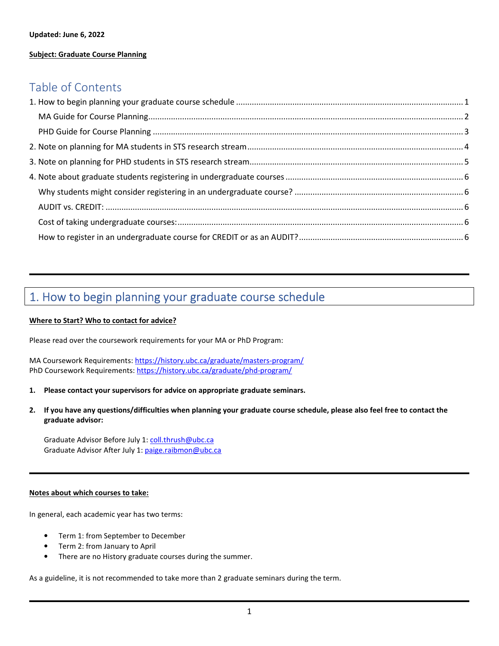# **Subject: Graduate Course Planning**

# Table of Contents

# 1. How to begin planning your graduate course schedule

#### **Where to Start? Who to contact for advice?**

Please read over the coursework requirements for your MA or PhD Program:

MA Coursework Requirements: https://history.ubc.ca/graduate/masters-program/ PhD Coursework Requirements: https://history.ubc.ca/graduate/phd-program/

- **1. Please contact your supervisors for advice on appropriate graduate seminars.**
- **2. If you have any questions/difficulties when planning your graduate course schedule, please also feel free to contact the graduate advisor:**

Graduate Advisor Before July 1: coll.thrush@ubc.ca Graduate Advisor After July 1: paige.raibmon@ubc.ca

#### **Notes about which courses to take:**

In general, each academic year has two terms:

- Term 1: from September to December
- Term 2: from January to April
- There are no History graduate courses during the summer.

As a guideline, it is not recommended to take more than 2 graduate seminars during the term.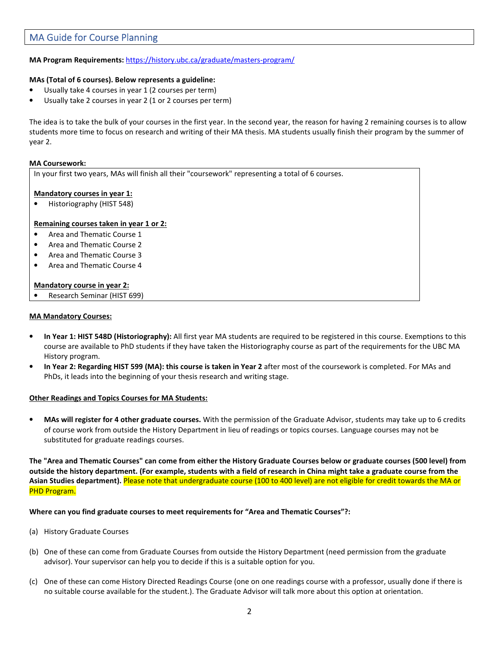# MA Guide for Course Planning

## **MA Program Requirements:** https://history.ubc.ca/graduate/masters-program/

#### **MAs (Total of 6 courses). Below represents a guideline:**

- Usually take 4 courses in year 1 (2 courses per term)
- Usually take 2 courses in year 2 (1 or 2 courses per term)

The idea is to take the bulk of your courses in the first year. In the second year, the reason for having 2 remaining courses is to allow students more time to focus on research and writing of their MA thesis. MA students usually finish their program by the summer of year 2.

#### **MA Coursework:**

In your first two years, MAs will finish all their "coursework" representing a total of 6 courses.

#### **Mandatory courses in year 1:**

• Historiography (HIST 548)

#### **Remaining courses taken in year 1 or 2:**

- Area and Thematic Course 1
- Area and Thematic Course 2
- Area and Thematic Course 3
- Area and Thematic Course 4

#### **Mandatory course in year 2:**

• Research Seminar (HIST 699)

#### **MA Mandatory Courses:**

- **In Year 1: HIST 548D (Historiography):** All first year MA students are required to be registered in this course. Exemptions to this course are available to PhD students if they have taken the Historiography course as part of the requirements for the UBC MA History program.
- **In Year 2: Regarding HIST 599 (MA): this course is taken in Year 2** after most of the coursework is completed. For MAs and PhDs, it leads into the beginning of your thesis research and writing stage.

#### **Other Readings and Topics Courses for MA Students:**

• **MAs will register for 4 other graduate courses.** With the permission of the Graduate Advisor, students may take up to 6 credits of course work from outside the History Department in lieu of readings or topics courses. Language courses may not be substituted for graduate readings courses.

**The "Area and Thematic Courses" can come from either the History Graduate Courses below or graduate courses (500 level) from outside the history department. (For example, students with a field of research in China might take a graduate course from the Asian Studies department).** Please note that undergraduate course (100 to 400 level) are not eligible for credit towards the MA or PHD Program.

#### **Where can you find graduate courses to meet requirements for "Area and Thematic Courses"?:**

- (a) History Graduate Courses
- (b) One of these can come from Graduate Courses from outside the History Department (need permission from the graduate advisor). Your supervisor can help you to decide if this is a suitable option for you.
- (c) One of these can come History Directed Readings Course (one on one readings course with a professor, usually done if there is no suitable course available for the student.). The Graduate Advisor will talk more about this option at orientation.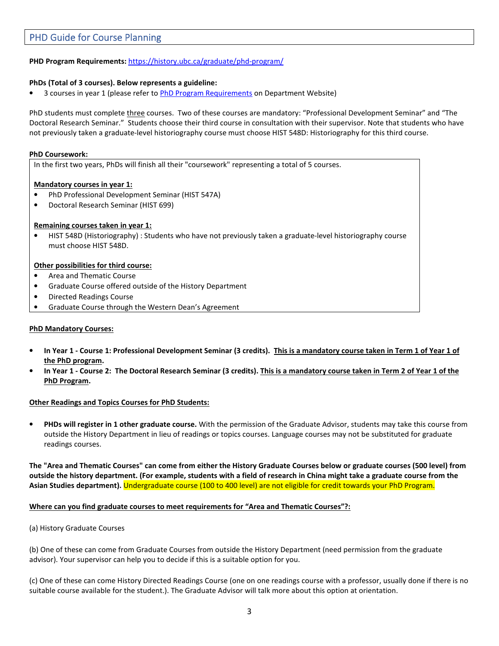# PHD Guide for Course Planning

# **PHD Program Requirements:** https://history.ubc.ca/graduate/phd-program/

# **PhDs (Total of 3 courses). Below represents a guideline:**

• 3 courses in year 1 (please refer to PhD Program Requirements on Department Website)

PhD students must complete three courses. Two of these courses are mandatory: "Professional Development Seminar" and "The Doctoral Research Seminar." Students choose their third course in consultation with their supervisor. Note that students who have not previously taken a graduate-level historiography course must choose HIST 548D: Historiography for this third course.

#### **PhD Coursework:**

In the first two years, PhDs will finish all their "coursework" representing a total of 5 courses.

## **Mandatory courses in year 1:**

- PhD Professional Development Seminar (HIST 547A)
- Doctoral Research Seminar (HIST 699)

## **Remaining courses taken in year 1:**

• HIST 548D (Historiography) : Students who have not previously taken a graduate-level historiography course must choose HIST 548D.

#### **Other possibilities for third course:**

- Area and Thematic Course
- Graduate Course offered outside of the History Department
- Directed Readings Course
- Graduate Course through the Western Dean's Agreement

## **PhD Mandatory Courses:**

- **In Year 1 Course 1: Professional Development Seminar (3 credits). This is a mandatory course taken in Term 1 of Year 1 of the PhD program.**
- **In Year 1 Course 2: The Doctoral Research Seminar (3 credits). This is a mandatory course taken in Term 2 of Year 1 of the PhD Program.**

## **Other Readings and Topics Courses for PhD Students:**

• **PHDs will register in 1 other graduate course.** With the permission of the Graduate Advisor, students may take this course from outside the History Department in lieu of readings or topics courses. Language courses may not be substituted for graduate readings courses.

**The "Area and Thematic Courses" can come from either the History Graduate Courses below or graduate courses (500 level) from outside the history department. (For example, students with a field of research in China might take a graduate course from the Asian Studies department).** Undergraduate course (100 to 400 level) are not eligible for credit towards your PhD Program.

## **Where can you find graduate courses to meet requirements for "Area and Thematic Courses"?:**

#### (a) History Graduate Courses

(b) One of these can come from Graduate Courses from outside the History Department (need permission from the graduate advisor). Your supervisor can help you to decide if this is a suitable option for you.

(c) One of these can come History Directed Readings Course (one on one readings course with a professor, usually done if there is no suitable course available for the student.). The Graduate Advisor will talk more about this option at orientation.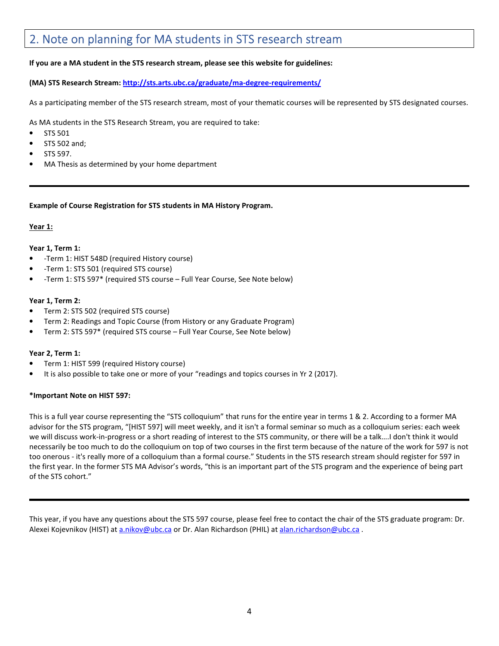# 2. Note on planning for MA students in STS research stream

# **If you are a MA student in the STS research stream, please see this website for guidelines:**

**(MA) STS Research Stream: http://sts.arts.ubc.ca/graduate/ma-degree-requirements/**

As a participating member of the STS research stream, most of your thematic courses will be represented by STS designated courses.

As MA students in the STS Research Stream, you are required to take:

- STS 501
- STS 502 and;
- STS 597.
- MA Thesis as determined by your home department

#### **Example of Course Registration for STS students in MA History Program.**

## **Year 1:**

## **Year 1, Term 1:**

- -Term 1: HIST 548D (required History course)
- -Term 1: STS 501 (required STS course)
- -Term 1: STS 597\* (required STS course Full Year Course, See Note below)

## **Year 1, Term 2:**

- Term 2: STS 502 (required STS course)
- Term 2: Readings and Topic Course (from History or any Graduate Program)
- Term 2: STS 597\* (required STS course Full Year Course, See Note below)

## **Year 2, Term 1:**

- Term 1: HIST 599 (required History course)
- It is also possible to take one or more of your "readings and topics courses in Yr 2 (2017).

## **\*Important Note on HIST 597:**

This is a full year course representing the "STS colloquium" that runs for the entire year in terms 1 & 2. According to a former MA advisor for the STS program, "[HIST 597] will meet weekly, and it isn't a formal seminar so much as a colloquium series: each week we will discuss work-in-progress or a short reading of interest to the STS community, or there will be a talk….I don't think it would necessarily be too much to do the colloquium on top of two courses in the first term because of the nature of the work for 597 is not too onerous - it's really more of a colloquium than a formal course." Students in the STS research stream should register for 597 in the first year. In the former STS MA Advisor's words, "this is an important part of the STS program and the experience of being part of the STS cohort."

This year, if you have any questions about the STS 597 course, please feel free to contact the chair of the STS graduate program: Dr. Alexei Kojevnikov (HIST) at a.nikov@ubc.ca or Dr. Alan Richardson (PHIL) at alan.richardson@ubc.ca .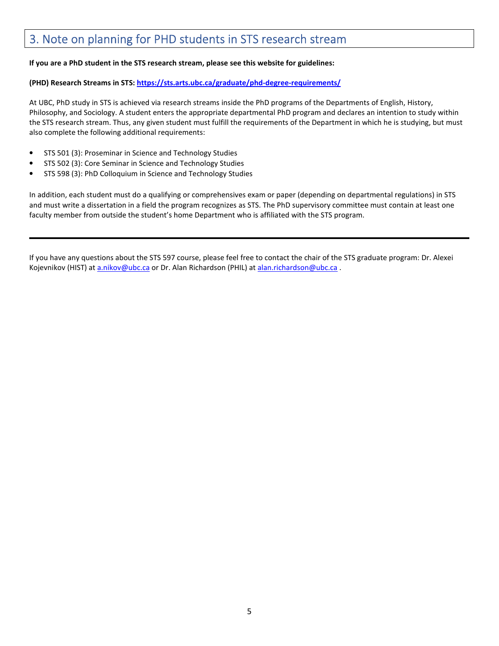# 3. Note on planning for PHD students in STS research stream

# **If you are a PhD student in the STS research stream, please see this website for guidelines:**

# **(PHD) Research Streams in STS: https://sts.arts.ubc.ca/graduate/phd-degree-requirements/**

At UBC, PhD study in STS is achieved via research streams inside the PhD programs of the Departments of English, History, Philosophy, and Sociology. A student enters the appropriate departmental PhD program and declares an intention to study within the STS research stream. Thus, any given student must fulfill the requirements of the Department in which he is studying, but must also complete the following additional requirements:

- STS 501 (3): Proseminar in Science and Technology Studies
- STS 502 (3): Core Seminar in Science and Technology Studies
- STS 598 (3): PhD Colloquium in Science and Technology Studies

In addition, each student must do a qualifying or comprehensives exam or paper (depending on departmental regulations) in STS and must write a dissertation in a field the program recognizes as STS. The PhD supervisory committee must contain at least one faculty member from outside the student's home Department who is affiliated with the STS program.

If you have any questions about the STS 597 course, please feel free to contact the chair of the STS graduate program: Dr. Alexei Kojevnikov (HIST) at a.nikov@ubc.ca or Dr. Alan Richardson (PHIL) at alan.richardson@ubc.ca .